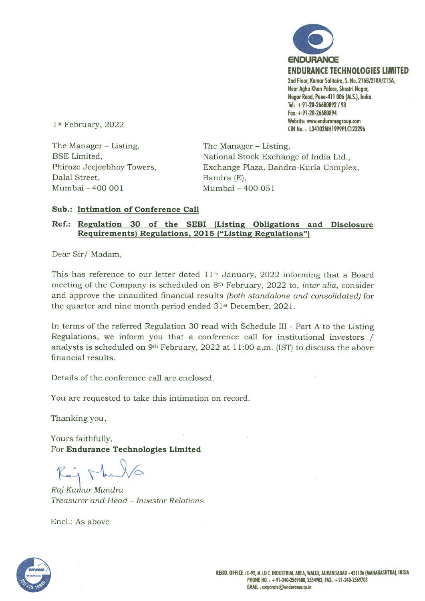

The Manager – Listing, The Manager – Listing, Dalal Street, Bandra (E), Mumbai 400 001 Mumbai —400 051

BSE Limited, National Stock Exchange of India Ltd., Phiroze Jeejeebhoy Towers, Exchange Plaza, Bandra-Kurla Complex,

## Sub.: Intimation of Conference Call

### Ref.: Regulation 30 of the SEBI (Listing Obligations and Disclosure Requirements) Regulations. 2015 ("Listing Regulations")

Dear Sir/Madam,

This has reference to our letter dated 11th January, 2022 informing that a Board meeting of the Company is scheduled on  $8<sup>th</sup>$  February, 2022 to, *inter alia*, consider and approve the unaudited financial results (both standalone and consolidated) for the quarter and nine month period ended 31st December, 2021.

In terms of the referred Regulation 30 read with Schedule III - Part A to the Listing Regulations, we inform you that a conference call for institutional investors / analysts is scheduled on 9th February, 2022 at 11:00 a.m. (1ST) to discuss the above financial results.

Details of the conference call are enclosed.

You are requested to take this intimation on record.

Thanking you,

Yours faithfully, For Endurance Technologies Limited

 $R_{i}$   $\Gamma_{h}$ 

Raj Kurhar Mundra Treasurer and Head — Investor Relations

Encl.: As above